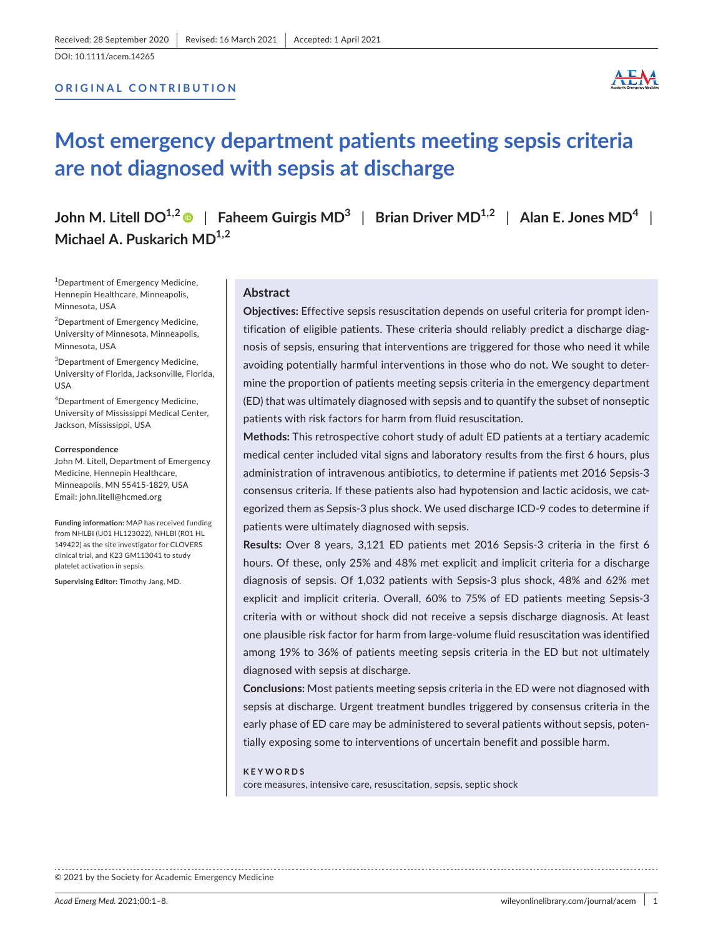DOI: 10.1111/acem.14265

## **ORIGINAL CONTRIBUTION**



# **Most emergency department patients meeting sepsis criteria are not diagnosed with sepsis at discharge**

**John M. Litell DO1,2** | **Faheem Guirgis MD3** | **Brian Driver MD1,2** | **Alan E. Jones MD<sup>4</sup>** | **Michael A. Puskarich MD1,2**

<sup>1</sup>Department of Emergency Medicine, Hennepin Healthcare, Minneapolis, Minnesota, USA

<sup>2</sup>Department of Emergency Medicine, University of Minnesota, Minneapolis, Minnesota, USA

<sup>3</sup>Department of Emergency Medicine, University of Florida, Jacksonville, Florida, USA

4 Department of Emergency Medicine, University of Mississippi Medical Center, Jackson, Mississippi, USA

#### **Correspondence**

John M. Litell, Department of Emergency Medicine, Hennepin Healthcare, Minneapolis, MN 55415-1829, USA Email: [john.litell@hcmed.org](mailto:john.litell@hcmed.org)

**Funding information:** MAP has received funding from NHLBI (U01 HL123022), NHLBI (R01 HL 149422) as the site investigator for CLOVERS clinical trial, and K23 GM113041 to study platelet activation in sepsis.

**Supervising Editor:** Timothy Jang, MD.

### **Abstract**

**Objectives:** Effective sepsis resuscitation depends on useful criteria for prompt identification of eligible patients. These criteria should reliably predict a discharge diagnosis of sepsis, ensuring that interventions are triggered for those who need it while avoiding potentially harmful interventions in those who do not. We sought to determine the proportion of patients meeting sepsis criteria in the emergency department (ED) that was ultimately diagnosed with sepsis and to quantify the subset of nonseptic patients with risk factors for harm from fluid resuscitation.

**Methods:** This retrospective cohort study of adult ED patients at a tertiary academic medical center included vital signs and laboratory results from the first 6 hours, plus administration of intravenous antibiotics, to determine if patients met 2016 Sepsis-3 consensus criteria. If these patients also had hypotension and lactic acidosis, we categorized them as Sepsis-3 plus shock. We used discharge ICD-9 codes to determine if patients were ultimately diagnosed with sepsis.

**Results:** Over 8 years, 3,121 ED patients met 2016 Sepsis-3 criteria in the first 6 hours. Of these, only 25% and 48% met explicit and implicit criteria for a discharge diagnosis of sepsis. Of 1,032 patients with Sepsis-3 plus shock, 48% and 62% met explicit and implicit criteria. Overall, 60% to 75% of ED patients meeting Sepsis-3 criteria with or without shock did not receive a sepsis discharge diagnosis. At least one plausible risk factor for harm from large-volume fluid resuscitation was identified among 19% to 36% of patients meeting sepsis criteria in the ED but not ultimately diagnosed with sepsis at discharge.

**Conclusions:** Most patients meeting sepsis criteria in the ED were not diagnosed with sepsis at discharge. Urgent treatment bundles triggered by consensus criteria in the early phase of ED care may be administered to several patients without sepsis, potentially exposing some to interventions of uncertain benefit and possible harm.

#### **KEYWORDS**

core measures, intensive care, resuscitation, sepsis, septic shock

© 2021 by the Society for Academic Emergency Medicine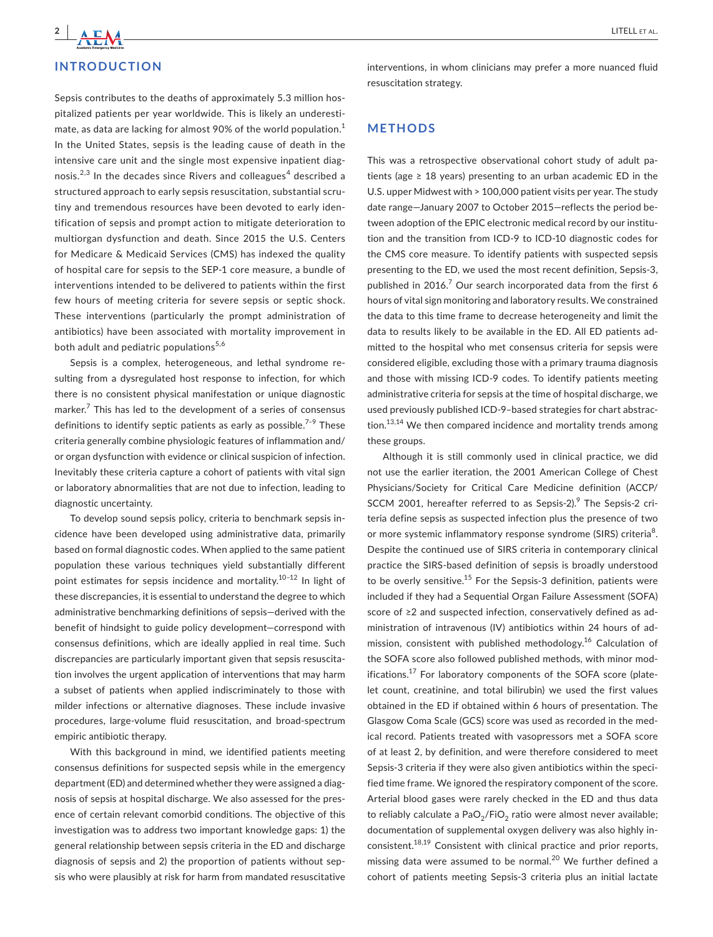## **INTRODUCTION**

Sepsis contributes to the deaths of approximately 5.3 million hospitalized patients per year worldwide. This is likely an underestimate, as data are lacking for almost 90% of the world population.<sup>1</sup> In the United States, sepsis is the leading cause of death in the intensive care unit and the single most expensive inpatient diagnosis. $^{2,3}$  In the decades since Rivers and colleagues $^4$  described a structured approach to early sepsis resuscitation, substantial scrutiny and tremendous resources have been devoted to early identification of sepsis and prompt action to mitigate deterioration to multiorgan dysfunction and death. Since 2015 the U.S. Centers for Medicare & Medicaid Services (CMS) has indexed the quality of hospital care for sepsis to the SEP-1 core measure, a bundle of interventions intended to be delivered to patients within the first few hours of meeting criteria for severe sepsis or septic shock. These interventions (particularly the prompt administration of antibiotics) have been associated with mortality improvement in both adult and pediatric populations<sup>5,6</sup>

Sepsis is a complex, heterogeneous, and lethal syndrome resulting from a dysregulated host response to infection, for which there is no consistent physical manifestation or unique diagnostic marker.<sup>7</sup> This has led to the development of a series of consensus definitions to identify septic patients as early as possible.<sup>7-9</sup> These criteria generally combine physiologic features of inflammation and/ or organ dysfunction with evidence or clinical suspicion of infection. Inevitably these criteria capture a cohort of patients with vital sign or laboratory abnormalities that are not due to infection, leading to diagnostic uncertainty.

To develop sound sepsis policy, criteria to benchmark sepsis incidence have been developed using administrative data, primarily based on formal diagnostic codes. When applied to the same patient population these various techniques yield substantially different point estimates for sepsis incidence and mortality.<sup>10-12</sup> In light of these discrepancies, it is essential to understand the degree to which administrative benchmarking definitions of sepsis—derived with the benefit of hindsight to guide policy development—correspond with consensus definitions, which are ideally applied in real time. Such discrepancies are particularly important given that sepsis resuscitation involves the urgent application of interventions that may harm a subset of patients when applied indiscriminately to those with milder infections or alternative diagnoses. These include invasive procedures, large-volume fluid resuscitation, and broad-spectrum empiric antibiotic therapy.

With this background in mind, we identified patients meeting consensus definitions for suspected sepsis while in the emergency department (ED) and determined whether they were assigned a diagnosis of sepsis at hospital discharge. We also assessed for the presence of certain relevant comorbid conditions. The objective of this investigation was to address two important knowledge gaps: 1) the general relationship between sepsis criteria in the ED and discharge diagnosis of sepsis and 2) the proportion of patients without sepsis who were plausibly at risk for harm from mandated resuscitative

interventions, in whom clinicians may prefer a more nuanced fluid resuscitation strategy.

## **METHODS**

This was a retrospective observational cohort study of adult patients (age  $\geq$  18 years) presenting to an urban academic ED in the U.S. upper Midwest with > 100,000 patient visits per year. The study date range—January 2007 to October 2015—reflects the period between adoption of the EPIC electronic medical record by our institution and the transition from ICD-9 to ICD-10 diagnostic codes for the CMS core measure. To identify patients with suspected sepsis presenting to the ED, we used the most recent definition, Sepsis-3, published in 2016.<sup>7</sup> Our search incorporated data from the first 6 hours of vital sign monitoring and laboratory results. We constrained the data to this time frame to decrease heterogeneity and limit the data to results likely to be available in the ED. All ED patients admitted to the hospital who met consensus criteria for sepsis were considered eligible, excluding those with a primary trauma diagnosis and those with missing ICD-9 codes. To identify patients meeting administrative criteria for sepsis at the time of hospital discharge, we used previously published ICD-9–based strategies for chart abstraction.<sup>13,14</sup> We then compared incidence and mortality trends among these groups.

Although it is still commonly used in clinical practice, we did not use the earlier iteration, the 2001 American College of Chest Physicians/Society for Critical Care Medicine definition (ACCP/ SCCM 2001, hereafter referred to as Sepsis-2).<sup>9</sup> The Sepsis-2 criteria define sepsis as suspected infection plus the presence of two or more systemic inflammatory response syndrome (SIRS) criteria<sup>8</sup>. Despite the continued use of SIRS criteria in contemporary clinical practice the SIRS-based definition of sepsis is broadly understood to be overly sensitive.<sup>15</sup> For the Sepsis-3 definition, patients were included if they had a Sequential Organ Failure Assessment (SOFA) score of ≥2 and suspected infection, conservatively defined as administration of intravenous (IV) antibiotics within 24 hours of admission, consistent with published methodology.<sup>16</sup> Calculation of the SOFA score also followed published methods, with minor modifications.<sup>17</sup> For laboratory components of the SOFA score (platelet count, creatinine, and total bilirubin) we used the first values obtained in the ED if obtained within 6 hours of presentation. The Glasgow Coma Scale (GCS) score was used as recorded in the medical record. Patients treated with vasopressors met a SOFA score of at least 2, by definition, and were therefore considered to meet Sepsis-3 criteria if they were also given antibiotics within the specified time frame. We ignored the respiratory component of the score. Arterial blood gases were rarely checked in the ED and thus data to reliably calculate a PaO<sub>2</sub>/FiO<sub>2</sub> ratio were almost never available; documentation of supplemental oxygen delivery was also highly inconsistent.18,19 Consistent with clinical practice and prior reports, missing data were assumed to be normal.<sup>20</sup> We further defined a cohort of patients meeting Sepsis-3 criteria plus an initial lactate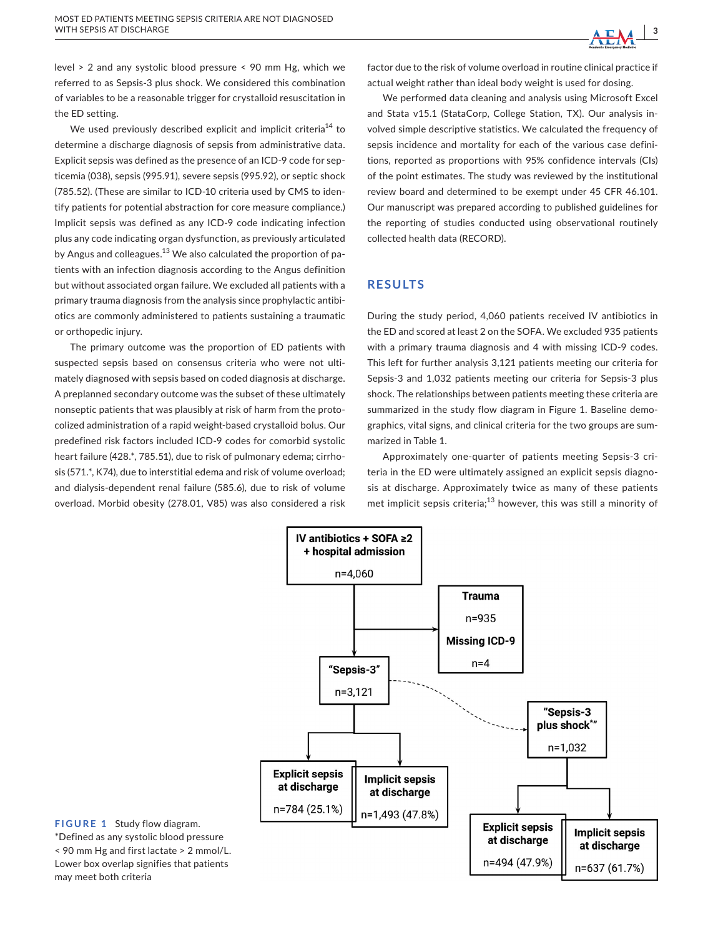level > 2 and any systolic blood pressure < 90 mm Hg, which we referred to as Sepsis-3 plus shock. We considered this combination of variables to be a reasonable trigger for crystalloid resuscitation in the ED setting.

We used previously described explicit and implicit criteria<sup>14</sup> to determine a discharge diagnosis of sepsis from administrative data. Explicit sepsis was defined as the presence of an ICD-9 code for septicemia (038), sepsis (995.91), severe sepsis (995.92), or septic shock (785.52). (These are similar to ICD-10 criteria used by CMS to identify patients for potential abstraction for core measure compliance.) Implicit sepsis was defined as any ICD-9 code indicating infection plus any code indicating organ dysfunction, as previously articulated by Angus and colleagues.<sup>13</sup> We also calculated the proportion of patients with an infection diagnosis according to the Angus definition but without associated organ failure. We excluded all patients with a primary trauma diagnosis from the analysis since prophylactic antibiotics are commonly administered to patients sustaining a traumatic or orthopedic injury.

The primary outcome was the proportion of ED patients with suspected sepsis based on consensus criteria who were not ultimately diagnosed with sepsis based on coded diagnosis at discharge. A preplanned secondary outcome was the subset of these ultimately nonseptic patients that was plausibly at risk of harm from the protocolized administration of a rapid weight-based crystalloid bolus. Our predefined risk factors included ICD-9 codes for comorbid systolic heart failure (428.\*, 785.51), due to risk of pulmonary edema; cirrhosis (571.\*, K74), due to interstitial edema and risk of volume overload; and dialysis-dependent renal failure (585.6), due to risk of volume overload. Morbid obesity (278.01, V85) was also considered a risk

factor due to the risk of volume overload in routine clinical practice if actual weight rather than ideal body weight is used for dosing.

We performed data cleaning and analysis using Microsoft Excel and Stata v15.1 (StataCorp, College Station, TX). Our analysis involved simple descriptive statistics. We calculated the frequency of sepsis incidence and mortality for each of the various case definitions, reported as proportions with 95% confidence intervals (CIs) of the point estimates. The study was reviewed by the institutional review board and determined to be exempt under 45 CFR 46.101. Our manuscript was prepared according to published guidelines for the reporting of studies conducted using observational routinely collected health data (RECORD).

## **RESULTS**

During the study period, 4,060 patients received IV antibiotics in the ED and scored at least 2 on the SOFA. We excluded 935 patients with a primary trauma diagnosis and 4 with missing ICD-9 codes. This left for further analysis 3,121 patients meeting our criteria for Sepsis-3 and 1,032 patients meeting our criteria for Sepsis-3 plus shock. The relationships between patients meeting these criteria are summarized in the study flow diagram in Figure 1. Baseline demographics, vital signs, and clinical criteria for the two groups are summarized in Table 1.

Approximately one-quarter of patients meeting Sepsis-3 criteria in the ED were ultimately assigned an explicit sepsis diagnosis at discharge. Approximately twice as many of these patients met implicit sepsis criteria;<sup>13</sup> however, this was still a minority of



**FIGURE 1** Study flow diagram. \*Defined as any systolic blood pressure < 90 mm Hg and first lactate > 2 mmol/L. Lower box overlap signifies that patients may meet both criteria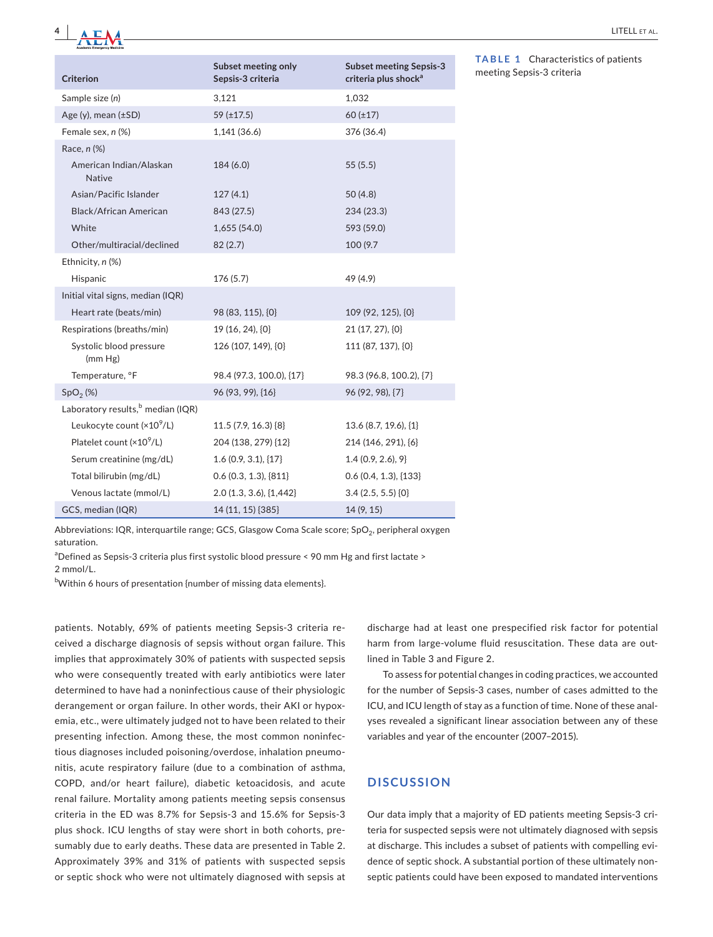

| <b>Criterion</b>                              | Subset meeting only<br>Sepsis-3 criteria | <b>Subset meeting Sepsis-3</b><br>criteria plus shock <sup>a</sup> |
|-----------------------------------------------|------------------------------------------|--------------------------------------------------------------------|
| Sample size (n)                               | 3,121                                    | 1,032                                                              |
| Age (y), mean $(\pm SD)$                      | 59 $(\pm 17.5)$                          | $60(\pm 17)$                                                       |
| Female sex, n (%)                             | 1,141(36.6)                              | 376 (36.4)                                                         |
| Race, n (%)                                   |                                          |                                                                    |
| American Indian/Alaskan<br><b>Native</b>      | 184(6.0)                                 | 55(5.5)                                                            |
| Asian/Pacific Islander                        | 127(4.1)                                 | 50(4.8)                                                            |
| Black/African American                        | 843 (27.5)                               | 234 (23.3)                                                         |
| White                                         | 1,655(54.0)                              | 593 (59.0)                                                         |
| Other/multiracial/declined                    | 82(2.7)                                  | 100 (9.7)                                                          |
| Ethnicity, n (%)                              |                                          |                                                                    |
| Hispanic                                      | 176 (5.7)                                | 49 (4.9)                                                           |
| Initial vital signs, median (IQR)             |                                          |                                                                    |
| Heart rate (beats/min)                        | 98 (83, 115), $\{0\}$                    | 109 (92, 125), {0}                                                 |
| Respirations (breaths/min)                    | 19 (16, 24), {0}                         | 21 (17, 27), ${0}$                                                 |
| Systolic blood pressure<br>(mm Hg)            | 126 (107, 149), {0}                      | 111 (87, 137), {0}                                                 |
| Temperature, °F                               | 98.4 (97.3, 100.0), {17}                 | 98.3 (96.8, 100.2), {7}                                            |
| SpO <sub>2</sub> (%)                          | 96 (93, 99), {16}                        | 96 (92, 98), {7}                                                   |
| Laboratory results, <sup>b</sup> median (IQR) |                                          |                                                                    |
| Leukocyte count $(x10^9/L)$                   | 11.5 (7.9, 16.3) {8}                     | 13.6 (8.7, 19.6), {1}                                              |
| Platelet count $(x10^9/L)$                    | 204 (138, 279) {12}                      | 214 (146, 291), {6}                                                |
| Serum creatinine (mg/dL)                      | 1.6(0.9, 3.1), [17]                      | 1.4(0.9, 2.6), 9                                                   |
| Total bilirubin (mg/dL)                       | $0.6$ (0.3, 1.3), ${811}$                | $0.6$ (0.4, 1.3), ${133}$                                          |
| Venous lactate (mmol/L)                       | 2.0 (1.3, 3.6), {1,442}                  | 3.4(2.5, 5.5)[0]                                                   |
| GCS, median (IQR)                             | 14 (11, 15) {385}                        | 14 (9, 15)                                                         |

**TABLE 1** Characteristics of patients meeting Sepsis-3 criteria

Abbreviations: IQR, interquartile range; GCS, Glasgow Coma Scale score; SpO<sub>2</sub>, peripheral oxygen saturation.

<sup>a</sup>Defined as Sepsis-3 criteria plus first systolic blood pressure < 90 mm Hg and first lactate >

2 mmol/L.

<sup>b</sup>Within 6 hours of presentation {number of missing data elements}.

patients. Notably, 69% of patients meeting Sepsis-3 criteria received a discharge diagnosis of sepsis without organ failure. This implies that approximately 30% of patients with suspected sepsis who were consequently treated with early antibiotics were later determined to have had a noninfectious cause of their physiologic derangement or organ failure. In other words, their AKI or hypoxemia, etc., were ultimately judged not to have been related to their presenting infection. Among these, the most common noninfectious diagnoses included poisoning/overdose, inhalation pneumonitis, acute respiratory failure (due to a combination of asthma, COPD, and/or heart failure), diabetic ketoacidosis, and acute renal failure. Mortality among patients meeting sepsis consensus criteria in the ED was 8.7% for Sepsis-3 and 15.6% for Sepsis-3 plus shock. ICU lengths of stay were short in both cohorts, presumably due to early deaths. These data are presented in Table 2. Approximately 39% and 31% of patients with suspected sepsis or septic shock who were not ultimately diagnosed with sepsis at

discharge had at least one prespecified risk factor for potential harm from large-volume fluid resuscitation. These data are outlined in Table 3 and Figure 2.

To assess for potential changes in coding practices, we accounted for the number of Sepsis-3 cases, number of cases admitted to the ICU, and ICU length of stay as a function of time. None of these analyses revealed a significant linear association between any of these variables and year of the encounter (2007–2015).

## **DISCUSSION**

Our data imply that a majority of ED patients meeting Sepsis-3 criteria for suspected sepsis were not ultimately diagnosed with sepsis at discharge. This includes a subset of patients with compelling evidence of septic shock. A substantial portion of these ultimately nonseptic patients could have been exposed to mandated interventions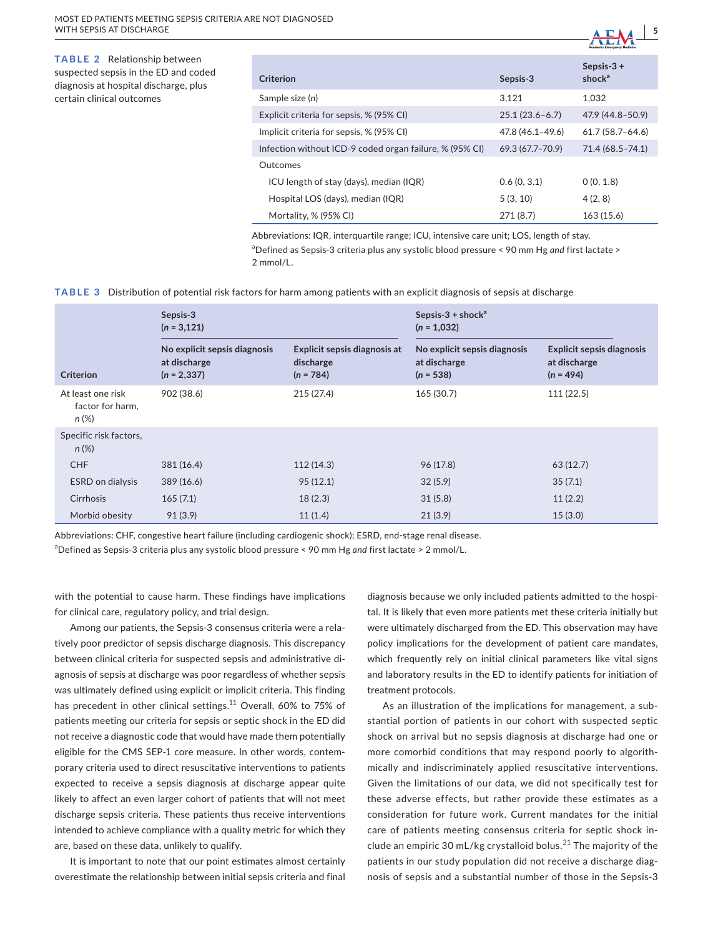**TABLE 2** Relationship between suspected sepsis in the ED and coded diagnosis at hospital discharge, plus certain clinical outcomes

| Criterion                                               | Sepsis-3         | Sepsis- $3 +$<br>shock $a$ |
|---------------------------------------------------------|------------------|----------------------------|
| Sample size (n)                                         | 3.121            | 1.032                      |
| Explicit criteria for sepsis, % (95% CI)                | $25.1(23.6-6.7)$ | 47.9 (44.8-50.9)           |
| Implicit criteria for sepsis, % (95% CI)                | 47.8 (46.1-49.6) | $61.7(58.7 - 64.6)$        |
| Infection without ICD-9 coded organ failure, % (95% CI) | 69.3 (67.7–70.9) | 71.4 (68.5 - 74.1)         |
| Qutcomes                                                |                  |                            |
| ICU length of stay (days), median (IQR)                 | 0.6(0, 3.1)      | 0(0, 1.8)                  |
| Hospital LOS (days), median (IQR)                       | 5(3, 10)         | 4(2, 8)                    |
| Mortality, % (95% CI)                                   | 271(8.7)         | 163(15.6)                  |
|                                                         |                  |                            |

 **<sup>|</sup> 5**

Abbreviations: IQR, interquartile range; ICU, intensive care unit; LOS, length of stay. a Defined as Sepsis-3 criteria plus any systolic blood pressure < 90 mm Hg *and* first lactate > 2 mmol/L.

#### **TABLE 3** Distribution of potential risk factors for harm among patients with an explicit diagnosis of sepsis at discharge

|                                                   | Sepsis-3<br>$(n = 3, 121)$                                     |                                                          | Sepsis-3 + shock <sup>a</sup><br>$(n = 1,032)$              |                                                                 |
|---------------------------------------------------|----------------------------------------------------------------|----------------------------------------------------------|-------------------------------------------------------------|-----------------------------------------------------------------|
| <b>Criterion</b>                                  | No explicit sepsis diagnosis<br>at discharge<br>$(n = 2, 337)$ | Explicit sepsis diagnosis at<br>discharge<br>$(n = 784)$ | No explicit sepsis diagnosis<br>at discharge<br>$(n = 538)$ | <b>Explicit sepsis diagnosis</b><br>at discharge<br>$(n = 494)$ |
| At least one risk<br>factor for harm,<br>$n (\%)$ | 902 (38.6)                                                     | 215 (27.4)                                               | 165 (30.7)                                                  | 111(22.5)                                                       |
| Specific risk factors,<br>$n (\%)$                |                                                                |                                                          |                                                             |                                                                 |
| <b>CHF</b>                                        | 381(16.4)                                                      | 112(14.3)                                                | 96 (17.8)                                                   | 63(12.7)                                                        |
| <b>ESRD</b> on dialysis                           | 389(16.6)                                                      | 95(12.1)                                                 | 32(5.9)                                                     | 35(7.1)                                                         |
| Cirrhosis                                         | 165(7.1)                                                       | 18(2.3)                                                  | 31(5.8)                                                     | 11(2.2)                                                         |
| Morbid obesity                                    | 91(3.9)                                                        | 11(1.4)                                                  | 21(3.9)                                                     | 15(3.0)                                                         |

Abbreviations: CHF, congestive heart failure (including cardiogenic shock); ESRD, end-stage renal disease.

a Defined as Sepsis-3 criteria plus any systolic blood pressure < 90 mm Hg *and* first lactate > 2 mmol/L.

with the potential to cause harm. These findings have implications for clinical care, regulatory policy, and trial design.

Among our patients, the Sepsis-3 consensus criteria were a relatively poor predictor of sepsis discharge diagnosis. This discrepancy between clinical criteria for suspected sepsis and administrative diagnosis of sepsis at discharge was poor regardless of whether sepsis was ultimately defined using explicit or implicit criteria. This finding has precedent in other clinical settings.<sup>11</sup> Overall, 60% to 75% of patients meeting our criteria for sepsis or septic shock in the ED did not receive a diagnostic code that would have made them potentially eligible for the CMS SEP-1 core measure. In other words, contemporary criteria used to direct resuscitative interventions to patients expected to receive a sepsis diagnosis at discharge appear quite likely to affect an even larger cohort of patients that will not meet discharge sepsis criteria. These patients thus receive interventions intended to achieve compliance with a quality metric for which they are, based on these data, unlikely to qualify.

It is important to note that our point estimates almost certainly overestimate the relationship between initial sepsis criteria and final diagnosis because we only included patients admitted to the hospital. It is likely that even more patients met these criteria initially but were ultimately discharged from the ED. This observation may have policy implications for the development of patient care mandates, which frequently rely on initial clinical parameters like vital signs and laboratory results in the ED to identify patients for initiation of treatment protocols.

As an illustration of the implications for management, a substantial portion of patients in our cohort with suspected septic shock on arrival but no sepsis diagnosis at discharge had one or more comorbid conditions that may respond poorly to algorithmically and indiscriminately applied resuscitative interventions. Given the limitations of our data, we did not specifically test for these adverse effects, but rather provide these estimates as a consideration for future work. Current mandates for the initial care of patients meeting consensus criteria for septic shock include an empiric 30 mL/kg crystalloid bolus.<sup>21</sup> The majority of the patients in our study population did not receive a discharge diagnosis of sepsis and a substantial number of those in the Sepsis-3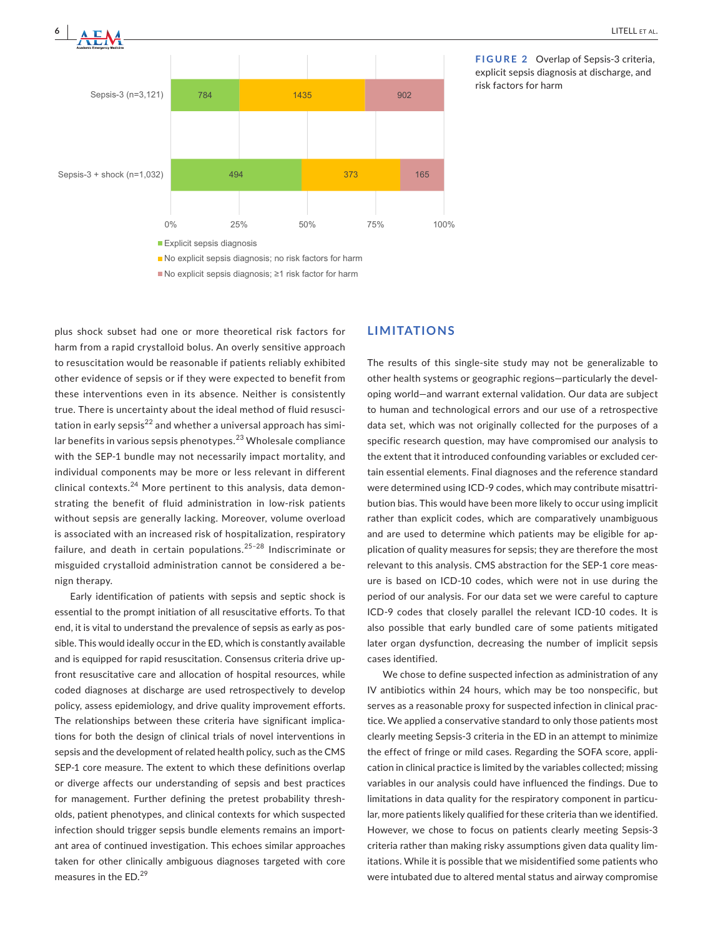



**FIGURE 2** Overlap of Sepsis-3 criteria, explicit sepsis diagnosis at discharge, and risk factors for harm

plus shock subset had one or more theoretical risk factors for harm from a rapid crystalloid bolus. An overly sensitive approach to resuscitation would be reasonable if patients reliably exhibited other evidence of sepsis or if they were expected to benefit from these interventions even in its absence. Neither is consistently true. There is uncertainty about the ideal method of fluid resuscitation in early sepsis<sup>22</sup> and whether a universal approach has similar benefits in various sepsis phenotypes.<sup>23</sup> Wholesale compliance with the SEP-1 bundle may not necessarily impact mortality, and individual components may be more or less relevant in different  $c$ clinical contexts.<sup>24</sup> More pertinent to this analysis, data demonstrating the benefit of fluid administration in low-risk patients without sepsis are generally lacking. Moreover, volume overload is associated with an increased risk of hospitalization, respiratory failure, and death in certain populations.<sup>25-28</sup> Indiscriminate or misguided crystalloid administration cannot be considered a benign therapy.

Early identification of patients with sepsis and septic shock is essential to the prompt initiation of all resuscitative efforts. To that end, it is vital to understand the prevalence of sepsis as early as possible. This would ideally occur in the ED, which is constantly available and is equipped for rapid resuscitation. Consensus criteria drive upfront resuscitative care and allocation of hospital resources, while coded diagnoses at discharge are used retrospectively to develop policy, assess epidemiology, and drive quality improvement efforts. The relationships between these criteria have significant implications for both the design of clinical trials of novel interventions in sepsis and the development of related health policy, such as the CMS SEP-1 core measure. The extent to which these definitions overlap or diverge affects our understanding of sepsis and best practices for management. Further defining the pretest probability thresholds, patient phenotypes, and clinical contexts for which suspected infection should trigger sepsis bundle elements remains an important area of continued investigation. This echoes similar approaches taken for other clinically ambiguous diagnoses targeted with core measures in the ED.<sup>29</sup>

## **LIMITATIONS**

The results of this single-site study may not be generalizable to other health systems or geographic regions—particularly the developing world—and warrant external validation. Our data are subject to human and technological errors and our use of a retrospective data set, which was not originally collected for the purposes of a specific research question, may have compromised our analysis to the extent that it introduced confounding variables or excluded certain essential elements. Final diagnoses and the reference standard were determined using ICD-9 codes, which may contribute misattribution bias. This would have been more likely to occur using implicit rather than explicit codes, which are comparatively unambiguous and are used to determine which patients may be eligible for application of quality measures for sepsis; they are therefore the most relevant to this analysis. CMS abstraction for the SEP-1 core measure is based on ICD-10 codes, which were not in use during the period of our analysis. For our data set we were careful to capture ICD-9 codes that closely parallel the relevant ICD-10 codes. It is also possible that early bundled care of some patients mitigated later organ dysfunction, decreasing the number of implicit sepsis cases identified.

We chose to define suspected infection as administration of any IV antibiotics within 24 hours, which may be too nonspecific, but serves as a reasonable proxy for suspected infection in clinical practice. We applied a conservative standard to only those patients most clearly meeting Sepsis-3 criteria in the ED in an attempt to minimize the effect of fringe or mild cases. Regarding the SOFA score, application in clinical practice is limited by the variables collected; missing variables in our analysis could have influenced the findings. Due to limitations in data quality for the respiratory component in particular, more patients likely qualified for these criteria than we identified. However, we chose to focus on patients clearly meeting Sepsis-3 criteria rather than making risky assumptions given data quality limitations. While it is possible that we misidentified some patients who were intubated due to altered mental status and airway compromise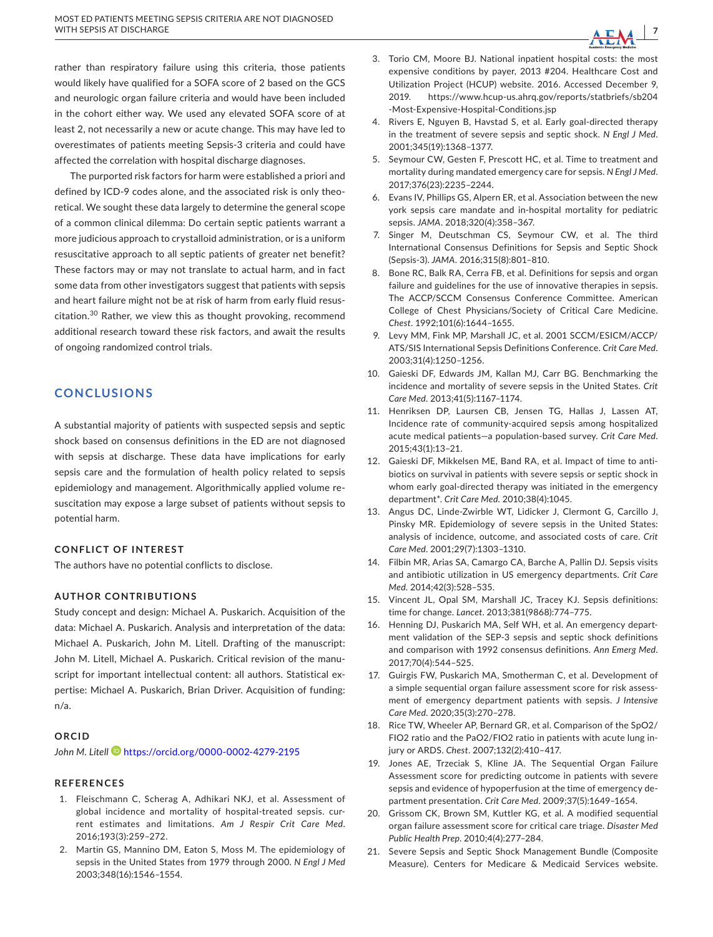rather than respiratory failure using this criteria, those patients would likely have qualified for a SOFA score of 2 based on the GCS and neurologic organ failure criteria and would have been included in the cohort either way. We used any elevated SOFA score of at least 2, not necessarily a new or acute change. This may have led to overestimates of patients meeting Sepsis-3 criteria and could have affected the correlation with hospital discharge diagnoses.

The purported risk factors for harm were established a priori and defined by ICD-9 codes alone, and the associated risk is only theoretical. We sought these data largely to determine the general scope of a common clinical dilemma: Do certain septic patients warrant a more judicious approach to crystalloid administration, or is a uniform resuscitative approach to all septic patients of greater net benefit? These factors may or may not translate to actual harm, and in fact some data from other investigators suggest that patients with sepsis and heart failure might not be at risk of harm from early fluid resuscitation.<sup>30</sup> Rather, we view this as thought provoking, recommend additional research toward these risk factors, and await the results of ongoing randomized control trials.

## **CONCLUSIONS**

A substantial majority of patients with suspected sepsis and septic shock based on consensus definitions in the ED are not diagnosed with sepsis at discharge. These data have implications for early sepsis care and the formulation of health policy related to sepsis epidemiology and management. Algorithmically applied volume resuscitation may expose a large subset of patients without sepsis to potential harm.

#### **CONFLICT OF INTEREST**

The authors have no potential conflicts to disclose.

#### **AUTHOR CONTRIBUTIONS**

Study concept and design: Michael A. Puskarich. Acquisition of the data: Michael A. Puskarich. Analysis and interpretation of the data: Michael A. Puskarich, John M. Litell. Drafting of the manuscript: John M. Litell, Michael A. Puskarich. Critical revision of the manuscript for important intellectual content: all authors. Statistical expertise: Michael A. Puskarich, Brian Driver. Acquisition of funding: n/a.

#### **ORCID**

*John M. Litell* <https://orcid.org/0000-0002-4279-2195>

#### **REFERENCES**

- 1. Fleischmann C, Scherag A, Adhikari NKJ, et al. Assessment of global incidence and mortality of hospital-treated sepsis. current estimates and limitations. *Am J Respir Crit Care Med*. 2016;193(3):259–272.
- 2. Martin GS, Mannino DM, Eaton S, Moss M. The epidemiology of sepsis in the United States from 1979 through 2000. *N Engl J Med* 2003;348(16):1546–1554.
- 3. Torio CM, Moore BJ. National inpatient hospital costs: the most expensive conditions by payer, 2013 #204. Healthcare Cost and Utilization Project (HCUP) website. 2016. Accessed December 9, 2019. [https://www.hcup-us.ahrq.gov/reports/statbriefs/sb204](https://www.hcup-us.ahrq.gov/reports/statbriefs/sb204-Most-Expensive-Hospital-Conditions.jsp) [-Most-Expensive-Hospital-Conditions.jsp](https://www.hcup-us.ahrq.gov/reports/statbriefs/sb204-Most-Expensive-Hospital-Conditions.jsp)
- 4. Rivers E, Nguyen B, Havstad S, et al. Early goal-directed therapy in the treatment of severe sepsis and septic shock. *N Engl J Med*. 2001;345(19):1368–1377.
- 5. Seymour CW, Gesten F, Prescott HC, et al. Time to treatment and mortality during mandated emergency care for sepsis. *N Engl J Med*. 2017;376(23):2235–2244.
- 6. Evans IV, Phillips GS, Alpern ER, et al. Association between the new york sepsis care mandate and in-hospital mortality for pediatric sepsis. *JAMA*. 2018;320(4):358–367.
- 7. Singer M, Deutschman CS, Seymour CW, et al. The third International Consensus Definitions for Sepsis and Septic Shock (Sepsis-3). *JAMA*. 2016;315(8):801–810.
- 8. Bone RC, Balk RA, Cerra FB, et al. Definitions for sepsis and organ failure and guidelines for the use of innovative therapies in sepsis. The ACCP/SCCM Consensus Conference Committee. American College of Chest Physicians/Society of Critical Care Medicine. *Chest*. 1992;101(6):1644–1655.
- 9. Levy MM, Fink MP, Marshall JC, et al. 2001 SCCM/ESICM/ACCP/ ATS/SIS International Sepsis Definitions Conference. *Crit Care Med*. 2003;31(4):1250–1256.
- 10. Gaieski DF, Edwards JM, Kallan MJ, Carr BG. Benchmarking the incidence and mortality of severe sepsis in the United States. *Crit Care Med*. 2013;41(5):1167–1174.
- 11. Henriksen DP, Laursen CB, Jensen TG, Hallas J, Lassen AT, Incidence rate of community-acquired sepsis among hospitalized acute medical patients—a population-based survey. *Crit Care Med*. 2015;43(1):13–21.
- 12. Gaieski DF, Mikkelsen ME, Band RA, et al. Impact of time to antibiotics on survival in patients with severe sepsis or septic shock in whom early goal-directed therapy was initiated in the emergency department\*. *Crit Care Med*. 2010;38(4):1045.
- 13. Angus DC, Linde-Zwirble WT, Lidicker J, Clermont G, Carcillo J, Pinsky MR. Epidemiology of severe sepsis in the United States: analysis of incidence, outcome, and associated costs of care. *Crit Care Med*. 2001;29(7):1303–1310.
- 14. Filbin MR, Arias SA, Camargo CA, Barche A, Pallin DJ. Sepsis visits and antibiotic utilization in US emergency departments. *Crit Care Med*. 2014;42(3):528–535.
- 15. Vincent JL, Opal SM, Marshall JC, Tracey KJ. Sepsis definitions: time for change. *Lancet*. 2013;381(9868):774–775.
- 16. Henning DJ, Puskarich MA, Self WH, et al. An emergency department validation of the SEP-3 sepsis and septic shock definitions and comparison with 1992 consensus definitions. *Ann Emerg Med*. 2017;70(4):544–525.
- 17. Guirgis FW, Puskarich MA, Smotherman C, et al. Development of a simple sequential organ failure assessment score for risk assessment of emergency department patients with sepsis. *J Intensive Care Med*. 2020;35(3):270–278.
- 18. Rice TW, Wheeler AP, Bernard GR, et al. Comparison of the SpO2/ FIO2 ratio and the PaO2/FIO2 ratio in patients with acute lung injury or ARDS. *Chest*. 2007;132(2):410–417.
- 19. Jones AE, Trzeciak S, Kline JA. The Sequential Organ Failure Assessment score for predicting outcome in patients with severe sepsis and evidence of hypoperfusion at the time of emergency department presentation. *Crit Care Med*. 2009;37(5):1649–1654.
- 20. Grissom CK, Brown SM, Kuttler KG, et al. A modified sequential organ failure assessment score for critical care triage. *Disaster Med Public Health Prep*. 2010;4(4):277–284.
- 21. Severe Sepsis and Septic Shock Management Bundle (Composite Measure). Centers for Medicare & Medicaid Services website.